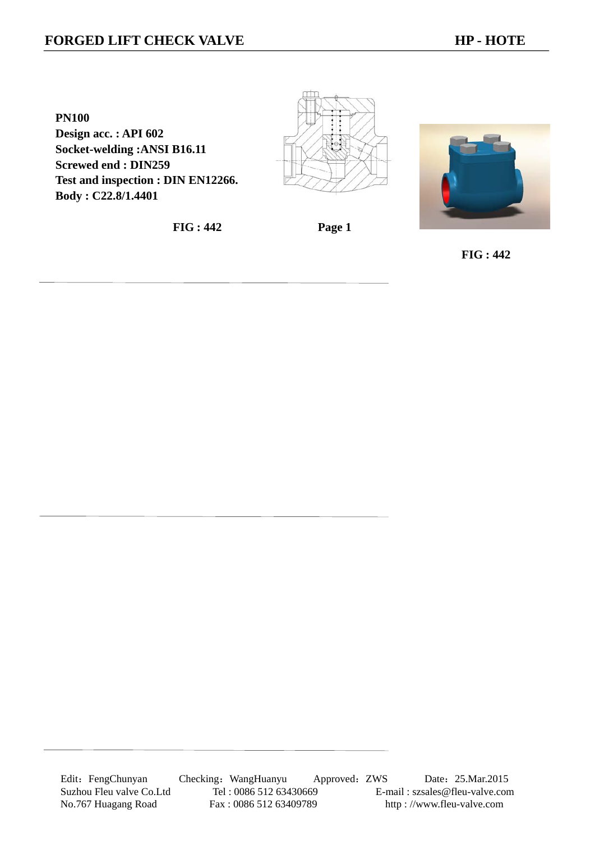## **FORGED LIFT CHECK VALVE HERE HAVE HP - HOTE**

**PN100 Design acc. : API 602 Socket-welding :ANSI B16.11 Screwed end : DIN259 Test and inspection : DIN EN12266. Body : C22.8/1.4401** 

**FIG : 442 Page 1** 



 **FIG : 442**